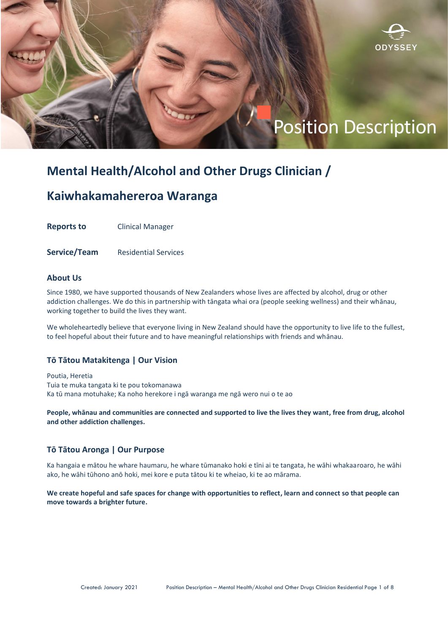

# **Mental Health/Alcohol and Other Drugs Clinician /**

# **Kaiwhakamahereroa Waranga**

**Reports to** Clinical Manager

**Service/Team** Residential Services

# **About Us**

Since 1980, we have supported thousands of New Zealanders whose lives are affected by alcohol, drug or other addiction challenges. We do this in partnership with tāngata whai ora (people seeking wellness) and their whānau, working together to build the lives they want.

We wholeheartedly believe that everyone living in New Zealand should have the opportunity to live life to the fullest, to feel hopeful about their future and to have meaningful relationships with friends and whānau.

# **Tō Tātou Matakitenga | Our Vision**

Poutia, Heretia Tuia te muka tangata ki te pou tokomanawa Ka tū mana motuhake; Ka noho herekore i ngā waranga me ngā wero nui o te ao

**People, whānau and communities are connected and supported to live the lives they want, free from drug, alcohol and other addiction challenges.**

# **Tō Tātou Aronga | Our Purpose**

Ka hangaia e mātou he whare haumaru, he whare tūmanako hoki e tīni ai te tangata, he wāhi whakaaroaro, he wāhi ako, he wāhi tūhono anō hoki, mei kore e puta tātou ki te wheiao, ki te ao mārama.

**We create hopeful and safe spaces for change with opportunities to reflect, learn and connect so that people can move towards a brighter future.**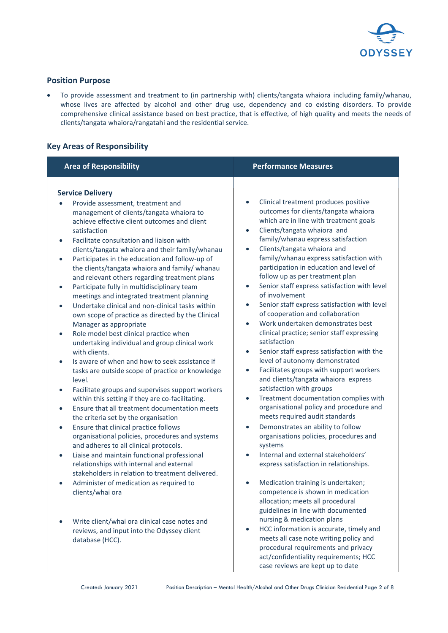

# **Position Purpose**

• To provide assessment and treatment to (in partnership with) clients/tangata whaiora including family/whanau, whose lives are affected by alcohol and other drug use, dependency and co existing disorders. To provide comprehensive clinical assistance based on best practice, that is effective, of high quality and meets the needs of clients/tangata whaiora/rangatahi and the residential service.

# **Key Areas of Responsibility**

| <b>Area of Responsibility</b>                                                                                                                                                                                                                                                                                                                                                                                                                                                                                                                                                                                                                                                                                                                                                                                                                                                                                                                                                                                                                                                                                                                                                                                                               | <b>Performance Measures</b>                                                                                                                                                                                                                                                                                                                                                                                                                                                                                                                                                                                                                                                                                                                                                                                                                                                                                                                                                                                                                                                                             |
|---------------------------------------------------------------------------------------------------------------------------------------------------------------------------------------------------------------------------------------------------------------------------------------------------------------------------------------------------------------------------------------------------------------------------------------------------------------------------------------------------------------------------------------------------------------------------------------------------------------------------------------------------------------------------------------------------------------------------------------------------------------------------------------------------------------------------------------------------------------------------------------------------------------------------------------------------------------------------------------------------------------------------------------------------------------------------------------------------------------------------------------------------------------------------------------------------------------------------------------------|---------------------------------------------------------------------------------------------------------------------------------------------------------------------------------------------------------------------------------------------------------------------------------------------------------------------------------------------------------------------------------------------------------------------------------------------------------------------------------------------------------------------------------------------------------------------------------------------------------------------------------------------------------------------------------------------------------------------------------------------------------------------------------------------------------------------------------------------------------------------------------------------------------------------------------------------------------------------------------------------------------------------------------------------------------------------------------------------------------|
| <b>Service Delivery</b><br>Provide assessment, treatment and<br>management of clients/tangata whaiora to<br>achieve effective client outcomes and client<br>satisfaction<br>Facilitate consultation and liaison with<br>$\bullet$<br>clients/tangata whaiora and their family/whanau<br>Participates in the education and follow-up of<br>$\bullet$<br>the clients/tangata whaiora and family/ whanau<br>and relevant others regarding treatment plans<br>Participate fully in multidisciplinary team<br>$\bullet$<br>meetings and integrated treatment planning<br>Undertake clinical and non-clinical tasks within<br>$\bullet$<br>own scope of practice as directed by the Clinical<br>Manager as appropriate<br>Role model best clinical practice when<br>$\bullet$<br>undertaking individual and group clinical work<br>with clients.<br>Is aware of when and how to seek assistance if<br>tasks are outside scope of practice or knowledge<br>level.<br>Facilitate groups and supervises support workers<br>$\bullet$<br>within this setting if they are co-facilitating.<br>Ensure that all treatment documentation meets<br>$\bullet$<br>the criteria set by the organisation<br>Ensure that clinical practice follows<br>$\bullet$ | Clinical treatment produces positive<br>$\bullet$<br>outcomes for clients/tangata whaiora<br>which are in line with treatment goals<br>Clients/tangata whaiora and<br>$\bullet$<br>family/whanau express satisfaction<br>Clients/tangata whaiora and<br>$\bullet$<br>family/whanau express satisfaction with<br>participation in education and level of<br>follow up as per treatment plan<br>Senior staff express satisfaction with level<br>$\bullet$<br>of involvement<br>Senior staff express satisfaction with level<br>$\bullet$<br>of cooperation and collaboration<br>Work undertaken demonstrates best<br>$\bullet$<br>clinical practice; senior staff expressing<br>satisfaction<br>Senior staff express satisfaction with the<br>$\bullet$<br>level of autonomy demonstrated<br>Facilitates groups with support workers<br>$\bullet$<br>and clients/tangata whaiora express<br>satisfaction with groups<br>Treatment documentation complies with<br>$\bullet$<br>organisational policy and procedure and<br>meets required audit standards<br>Demonstrates an ability to follow<br>$\bullet$ |
| organisational policies, procedures and systems<br>and adheres to all clinical protocols.<br>Liaise and maintain functional professional<br>$\bullet$<br>relationships with internal and external                                                                                                                                                                                                                                                                                                                                                                                                                                                                                                                                                                                                                                                                                                                                                                                                                                                                                                                                                                                                                                           | organisations policies, procedures and<br>systems<br>Internal and external stakeholders'<br>$\bullet$<br>express satisfaction in relationships.                                                                                                                                                                                                                                                                                                                                                                                                                                                                                                                                                                                                                                                                                                                                                                                                                                                                                                                                                         |
| stakeholders in relation to treatment delivered.<br>Administer of medication as required to<br>clients/whai ora                                                                                                                                                                                                                                                                                                                                                                                                                                                                                                                                                                                                                                                                                                                                                                                                                                                                                                                                                                                                                                                                                                                             | Medication training is undertaken;<br>competence is shown in medication<br>allocation; meets all procedural<br>guidelines in line with documented                                                                                                                                                                                                                                                                                                                                                                                                                                                                                                                                                                                                                                                                                                                                                                                                                                                                                                                                                       |
| Write client/whai ora clinical case notes and<br>reviews, and input into the Odyssey client<br>database (HCC).                                                                                                                                                                                                                                                                                                                                                                                                                                                                                                                                                                                                                                                                                                                                                                                                                                                                                                                                                                                                                                                                                                                              | nursing & medication plans<br>HCC information is accurate, timely and<br>meets all case note writing policy and<br>procedural requirements and privacy<br>act/confidentiality requirements; HCC<br>case reviews are kept up to date                                                                                                                                                                                                                                                                                                                                                                                                                                                                                                                                                                                                                                                                                                                                                                                                                                                                     |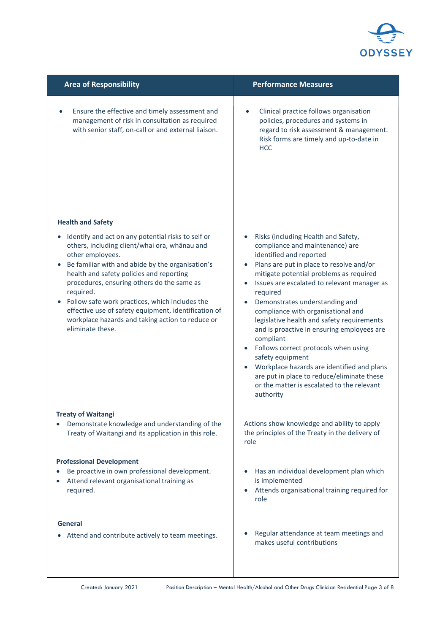

| <b>Area of Responsibility</b>                                                                                                                                                                                                                                                                                                                                                                                                                                                                                 | <b>Performance Measures</b>                                                                                                                                                                                                                                                                                                                                                                                                                                                                                                                                                                                                                             |
|---------------------------------------------------------------------------------------------------------------------------------------------------------------------------------------------------------------------------------------------------------------------------------------------------------------------------------------------------------------------------------------------------------------------------------------------------------------------------------------------------------------|---------------------------------------------------------------------------------------------------------------------------------------------------------------------------------------------------------------------------------------------------------------------------------------------------------------------------------------------------------------------------------------------------------------------------------------------------------------------------------------------------------------------------------------------------------------------------------------------------------------------------------------------------------|
| Ensure the effective and timely assessment and<br>management of risk in consultation as required<br>with senior staff, on-call or and external liaison.                                                                                                                                                                                                                                                                                                                                                       | Clinical practice follows organisation<br>$\bullet$<br>policies, procedures and systems in<br>regard to risk assessment & management.<br>Risk forms are timely and up-to-date in<br><b>HCC</b>                                                                                                                                                                                                                                                                                                                                                                                                                                                          |
| <b>Health and Safety</b><br>Identify and act on any potential risks to self or<br>$\bullet$<br>others, including client/whai ora, whānau and<br>other employees.<br>Be familiar with and abide by the organisation's<br>health and safety policies and reporting<br>procedures, ensuring others do the same as<br>required.<br>Follow safe work practices, which includes the<br>effective use of safety equipment, identification of<br>workplace hazards and taking action to reduce or<br>eliminate these. | Risks (including Health and Safety,<br>compliance and maintenance) are<br>identified and reported<br>Plans are put in place to resolve and/or<br>mitigate potential problems as required<br>Issues are escalated to relevant manager as<br>required<br>Demonstrates understanding and<br>compliance with organisational and<br>legislative health and safety requirements<br>and is proactive in ensuring employees are<br>compliant<br>Follows correct protocols when using<br>safety equipment<br>Workplace hazards are identified and plans<br>are put in place to reduce/eliminate these<br>or the matter is escalated to the relevant<br>authority |
| <b>Treaty of Waitangi</b>                                                                                                                                                                                                                                                                                                                                                                                                                                                                                     | Actions show knowledge and ability to apply                                                                                                                                                                                                                                                                                                                                                                                                                                                                                                                                                                                                             |
| Demonstrate knowledge and understanding of the                                                                                                                                                                                                                                                                                                                                                                                                                                                                | the principles of the Treaty in the delivery of                                                                                                                                                                                                                                                                                                                                                                                                                                                                                                                                                                                                         |
| Treaty of Waitangi and its application in this role.                                                                                                                                                                                                                                                                                                                                                                                                                                                          | role                                                                                                                                                                                                                                                                                                                                                                                                                                                                                                                                                                                                                                                    |
| <b>Professional Development</b>                                                                                                                                                                                                                                                                                                                                                                                                                                                                               | Has an individual development plan which                                                                                                                                                                                                                                                                                                                                                                                                                                                                                                                                                                                                                |
| Be proactive in own professional development.                                                                                                                                                                                                                                                                                                                                                                                                                                                                 | is implemented                                                                                                                                                                                                                                                                                                                                                                                                                                                                                                                                                                                                                                          |
| Attend relevant organisational training as                                                                                                                                                                                                                                                                                                                                                                                                                                                                    | Attends organisational training required for                                                                                                                                                                                                                                                                                                                                                                                                                                                                                                                                                                                                            |
| required.                                                                                                                                                                                                                                                                                                                                                                                                                                                                                                     | role                                                                                                                                                                                                                                                                                                                                                                                                                                                                                                                                                                                                                                                    |
| General                                                                                                                                                                                                                                                                                                                                                                                                                                                                                                       | Regular attendance at team meetings and                                                                                                                                                                                                                                                                                                                                                                                                                                                                                                                                                                                                                 |
| Attend and contribute actively to team meetings.                                                                                                                                                                                                                                                                                                                                                                                                                                                              | makes useful contributions                                                                                                                                                                                                                                                                                                                                                                                                                                                                                                                                                                                                                              |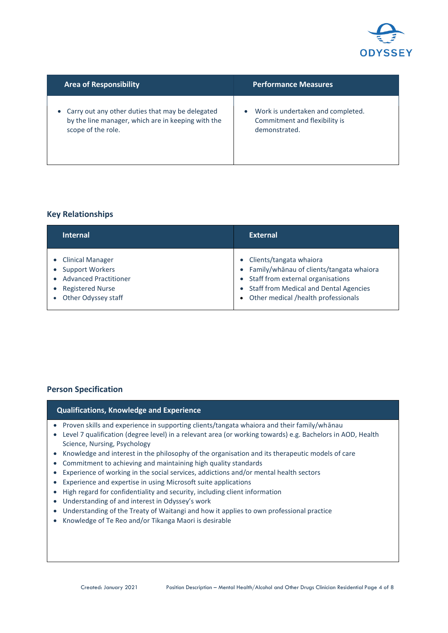

| <b>Area of Responsibility</b>                      | <b>Performance Measures</b>       |
|----------------------------------------------------|-----------------------------------|
| Carry out any other duties that may be delegated   | Work is undertaken and completed. |
| by the line manager, which are in keeping with the | Commitment and flexibility is     |
| scope of the role.                                 | demonstrated.                     |

# **Key Relationships**

| <b>Internal</b>              | <b>External</b>                               |
|------------------------------|-----------------------------------------------|
| • Clinical Manager           | Clients/tangata whaiora                       |
| • Support Workers            | Family/whānau of clients/tangata whaiora      |
| <b>Advanced Practitioner</b> | Staff from external organisations             |
| <b>Registered Nurse</b>      | <b>Staff from Medical and Dental Agencies</b> |
| Other Odyssey staff          | Other medical /health professionals           |

# **Person Specification**

| <b>Qualifications, Knowledge and Experience</b>                                              |
|----------------------------------------------------------------------------------------------|
| • Proven skills and experience in supporting clients/tangata whaiora and their family/whānau |

- Level 7 qualification (degree level) in a relevant area (or working towards) e.g. Bachelors in AOD, Health Science, Nursing, Psychology
- Knowledge and interest in the philosophy of the organisation and its therapeutic models of care
- Commitment to achieving and maintaining high quality standards
- Experience of working in the social services, addictions and/or mental health sectors
- Experience and expertise in using Microsoft suite applications
- High regard for confidentiality and security, including client information
- Understanding of and interest in Odyssey's work
- Understanding of the Treaty of Waitangi and how it applies to own professional practice
- Knowledge of Te Reo and/or Tikanga Maori is desirable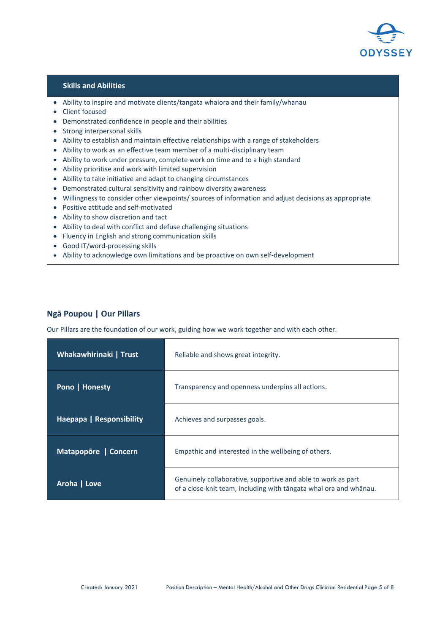

#### **Skills and Abilities**

- Ability to inspire and motivate clients/tangata whaiora and their family/whanau
- Client focused
- Demonstrated confidence in people and their abilities
- Strong interpersonal skills
- Ability to establish and maintain effective relationships with a range of stakeholders
- Ability to work as an effective team member of a multi-disciplinary team
- Ability to work under pressure, complete work on time and to a high standard
- Ability prioritise and work with limited supervision
- Ability to take initiative and adapt to changing circumstances
- Demonstrated cultural sensitivity and rainbow diversity awareness
- Willingness to consider other viewpoints/ sources of information and adjust decisions as appropriate
- Positive attitude and self-motivated
- Ability to show discretion and tact
- Ability to deal with conflict and defuse challenging situations
- Fluency in English and strong communication skills
- Good IT/word-processing skills
- Ability to acknowledge own limitations and be proactive on own self-development

# **Ngā Poupou | Our Pillars**

Our Pillars are the foundation of our work, guiding how we work together and with each other.

| Whakawhirinaki   Trust   | Reliable and shows great integrity.                                                                                               |
|--------------------------|-----------------------------------------------------------------------------------------------------------------------------------|
| <b>Pono   Honesty</b>    | Transparency and openness underpins all actions.                                                                                  |
| Haepapa   Responsibility | Achieves and surpasses goals.                                                                                                     |
| Matapopore   Concern     | Empathic and interested in the wellbeing of others.                                                                               |
| Aroha   Love             | Genuinely collaborative, supportive and able to work as part<br>of a close-knit team, including with tangata whai ora and whanau. |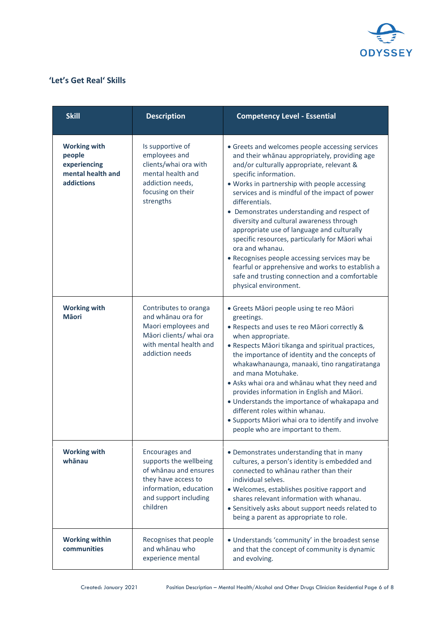

# **'Let's Get Real' Skills**

| <b>Skill</b>                                                                            | <b>Description</b>                                                                                                                                      | <b>Competency Level - Essential</b>                                                                                                                                                                                                                                                                                                                                                                                                                                                                                                                                                                                                                                                       |
|-----------------------------------------------------------------------------------------|---------------------------------------------------------------------------------------------------------------------------------------------------------|-------------------------------------------------------------------------------------------------------------------------------------------------------------------------------------------------------------------------------------------------------------------------------------------------------------------------------------------------------------------------------------------------------------------------------------------------------------------------------------------------------------------------------------------------------------------------------------------------------------------------------------------------------------------------------------------|
| <b>Working with</b><br>people<br>experiencing<br>mental health and<br><b>addictions</b> | Is supportive of<br>employees and<br>clients/whai ora with<br>mental health and<br>addiction needs,<br>focusing on their<br>strengths                   | • Greets and welcomes people accessing services<br>and their whānau appropriately, providing age<br>and/or culturally appropriate, relevant &<br>specific information.<br>. Works in partnership with people accessing<br>services and is mindful of the impact of power<br>differentials.<br>• Demonstrates understanding and respect of<br>diversity and cultural awareness through<br>appropriate use of language and culturally<br>specific resources, particularly for Māori whai<br>ora and whanau.<br>• Recognises people accessing services may be<br>fearful or apprehensive and works to establish a<br>safe and trusting connection and a comfortable<br>physical environment. |
| <b>Working with</b><br><b>M</b> aori                                                    | Contributes to oranga<br>and whānau ora for<br>Maori employees and<br>Māori clients/ whai ora<br>with mental health and<br>addiction needs              | · Greets Māori people using te reo Māori<br>greetings.<br>• Respects and uses te reo Māori correctly &<br>when appropriate.<br>• Respects Māori tikanga and spiritual practices,<br>the importance of identity and the concepts of<br>whakawhanaunga, manaaki, tino rangatiratanga<br>and mana Motuhake.<br>• Asks whai ora and whānau what they need and<br>provides information in English and Māori.<br>• Understands the importance of whakapapa and<br>different roles within whanau.<br>• Supports Māori whai ora to identify and involve<br>people who are important to them.                                                                                                      |
| <b>Working with</b><br>whānau                                                           | Encourages and<br>supports the wellbeing<br>of whānau and ensures<br>they have access to<br>information, education<br>and support including<br>children | • Demonstrates understanding that in many<br>cultures, a person's identity is embedded and<br>connected to whanau rather than their<br>individual selves.<br>· Welcomes, establishes positive rapport and<br>shares relevant information with whanau.<br>• Sensitively asks about support needs related to<br>being a parent as appropriate to role.                                                                                                                                                                                                                                                                                                                                      |
| <b>Working within</b><br>communities                                                    | Recognises that people<br>and whānau who<br>experience mental                                                                                           | . Understands 'community' in the broadest sense<br>and that the concept of community is dynamic<br>and evolving.                                                                                                                                                                                                                                                                                                                                                                                                                                                                                                                                                                          |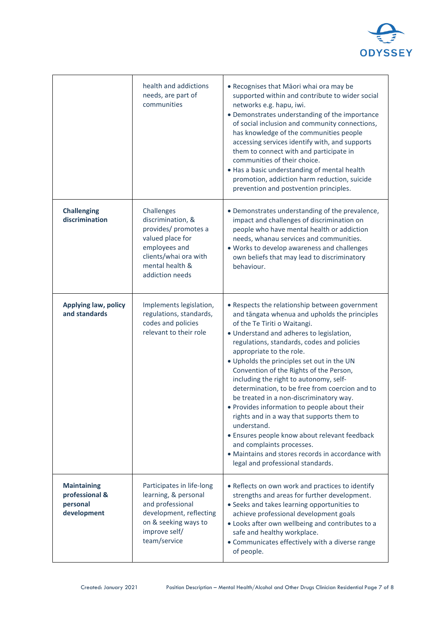

|                                                                 | health and addictions<br>needs, are part of<br>communities                                                                                                  | • Recognises that Māori whai ora may be<br>supported within and contribute to wider social<br>networks e.g. hapu, iwi.<br>• Demonstrates understanding of the importance<br>of social inclusion and community connections,<br>has knowledge of the communities people<br>accessing services identify with, and supports<br>them to connect with and participate in<br>communities of their choice.<br>. Has a basic understanding of mental health<br>promotion, addiction harm reduction, suicide<br>prevention and postvention principles.                                                                                                                                                                                                                              |
|-----------------------------------------------------------------|-------------------------------------------------------------------------------------------------------------------------------------------------------------|---------------------------------------------------------------------------------------------------------------------------------------------------------------------------------------------------------------------------------------------------------------------------------------------------------------------------------------------------------------------------------------------------------------------------------------------------------------------------------------------------------------------------------------------------------------------------------------------------------------------------------------------------------------------------------------------------------------------------------------------------------------------------|
| <b>Challenging</b><br>discrimination                            | Challenges<br>discrimination, &<br>provides/ promotes a<br>valued place for<br>employees and<br>clients/whai ora with<br>mental health &<br>addiction needs | • Demonstrates understanding of the prevalence,<br>impact and challenges of discrimination on<br>people who have mental health or addiction<br>needs, whanau services and communities.<br>. Works to develop awareness and challenges<br>own beliefs that may lead to discriminatory<br>behaviour.                                                                                                                                                                                                                                                                                                                                                                                                                                                                        |
| <b>Applying law, policy</b><br>and standards                    | Implements legislation,<br>regulations, standards,<br>codes and policies<br>relevant to their role                                                          | • Respects the relationship between government<br>and tāngata whenua and upholds the principles<br>of the Te Tiriti o Waitangi.<br>· Understand and adheres to legislation,<br>regulations, standards, codes and policies<br>appropriate to the role.<br>. Upholds the principles set out in the UN<br>Convention of the Rights of the Person,<br>including the right to autonomy, self-<br>determination, to be free from coercion and to<br>be treated in a non-discriminatory way.<br>• Provides information to people about their<br>rights and in a way that supports them to<br>understand.<br>· Ensures people know about relevant feedback<br>and complaints processes.<br>• Maintains and stores records in accordance with<br>legal and professional standards. |
| <b>Maintaining</b><br>professional &<br>personal<br>development | Participates in life-long<br>learning, & personal<br>and professional<br>development, reflecting<br>on & seeking ways to<br>improve self/<br>team/service   | • Reflects on own work and practices to identify<br>strengths and areas for further development.<br>• Seeks and takes learning opportunities to<br>achieve professional development goals<br>. Looks after own wellbeing and contributes to a<br>safe and healthy workplace.<br>• Communicates effectively with a diverse range<br>of people.                                                                                                                                                                                                                                                                                                                                                                                                                             |